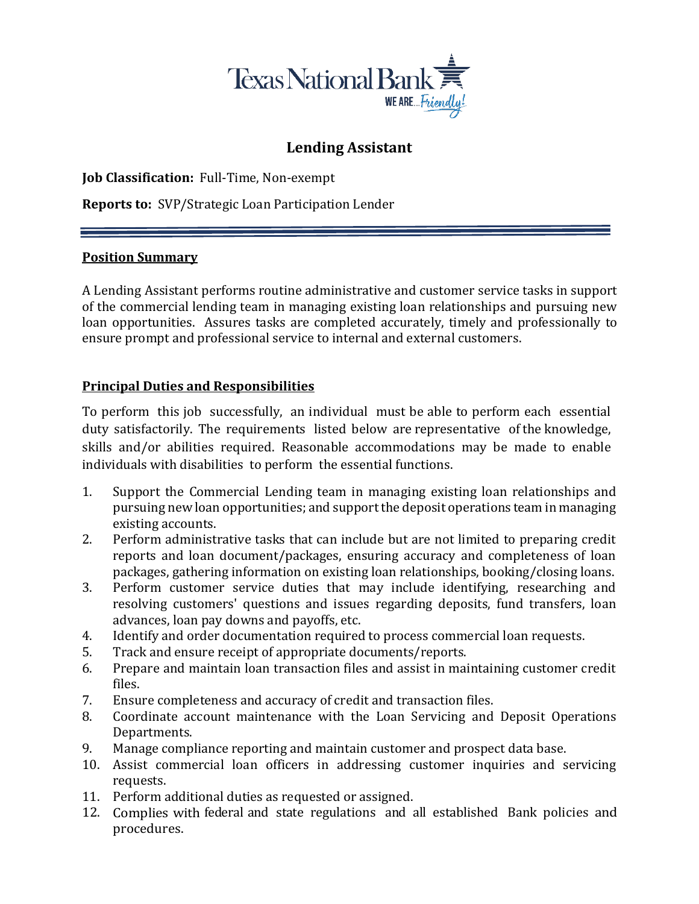

# **Lending Assistant**

**Job Classification:** Full-Time, Non-exempt

**Reports to:** SVP/Strategic Loan Participation Lender

## **Position Summary**

A Lending Assistant performs routine administrative and customer service tasks in support of the commercial lending team in managing existing loan relationships and pursuing new loan opportunities. Assures tasks are completed accurately, timely and professionally to ensure prompt and professional service to internal and external customers.

## **Principal Duties and Responsibilities**

To perform this job successfully, an individual must be able to perform each essential duty satisfactorily. The requirements listed below are representative of the knowledge, skills and/or abilities required. Reasonable accommodations may be made to enable individuals with disabilities to perform the essential functions.

- 1. Support the Commercial Lending team in managing existing loan relationships and pursuing new loan opportunities; and support the deposit operations team in managing existing accounts.
- 2. Perform administrative tasks that can include but are not limited to preparing credit reports and loan document/packages, ensuring accuracy and completeness of loan packages, gathering information on existing loan relationships, booking/closing loans.
- 3. Perform customer service duties that may include identifying, researching and resolving customers' questions and issues regarding deposits, fund transfers, loan advances, loan pay downs and payoffs, etc.
- 4. Identify and order documentation required to process commercial loan requests.
- 5. Track and ensure receipt of appropriate documents/reports.
- 6. Prepare and maintain loan transaction files and assist in maintaining customer credit files.
- 7. Ensure completeness and accuracy of credit and transaction files.
- 8. Coordinate account maintenance with the Loan Servicing and Deposit Operations Departments.
- 9. Manage compliance reporting and maintain customer and prospect data base.
- 10. Assist commercial loan officers in addressing customer inquiries and servicing requests.
- 11. Perform additional duties as requested or assigned.
- 12. Complies with federal and state regulations and all established Bank policies and procedures.